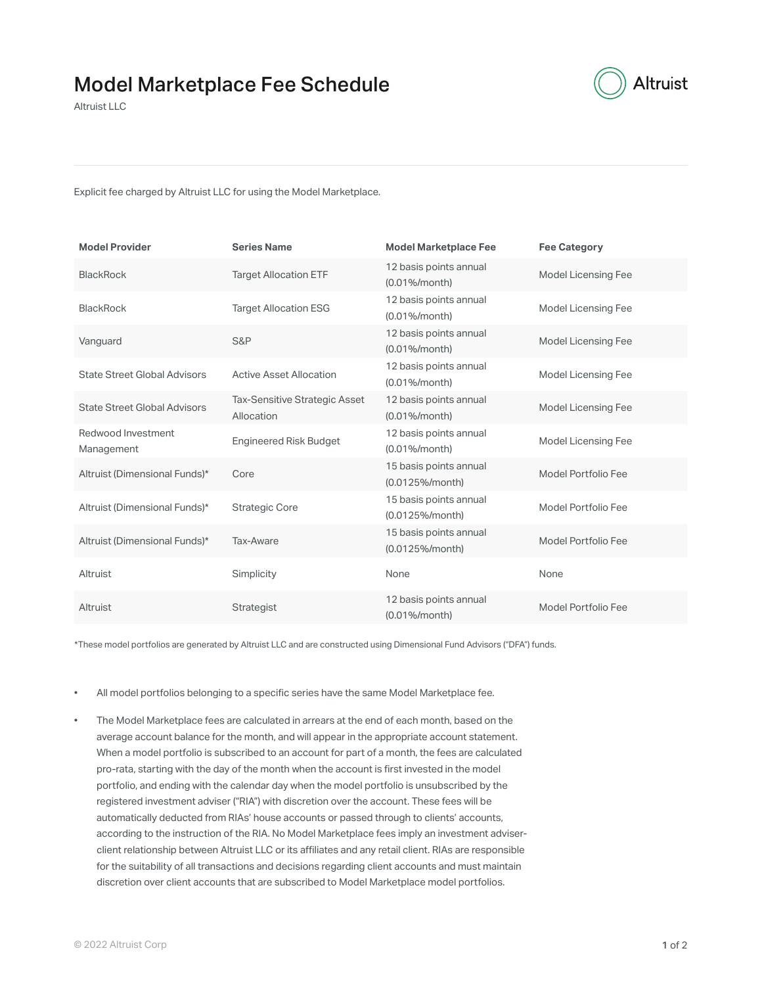

Altruist LLC

Explicit fee charged by Altruist LLC for using the Model Marketplace.

| <b>Model Provider</b>               | <b>Series Name</b>                          | <b>Model Marketplace Fee</b>                   | <b>Fee Category</b> |
|-------------------------------------|---------------------------------------------|------------------------------------------------|---------------------|
| <b>BlackRock</b>                    | <b>Target Allocation ETF</b>                | 12 basis points annual<br>$(0.01\%/$ month $)$ | Model Licensing Fee |
| <b>BlackRock</b>                    | <b>Target Allocation ESG</b>                | 12 basis points annual<br>(0.01%/month)        | Model Licensing Fee |
| Vanguard                            | S&P                                         | 12 basis points annual<br>$(0.01\%/$ month $)$ | Model Licensing Fee |
| <b>State Street Global Advisors</b> | <b>Active Asset Allocation</b>              | 12 basis points annual<br>$(0.01\%/month)$     | Model Licensing Fee |
| <b>State Street Global Advisors</b> | Tax-Sensitive Strategic Asset<br>Allocation | 12 basis points annual<br>$(0.01\%/$ month $)$ | Model Licensing Fee |
| Redwood Investment<br>Management    | <b>Engineered Risk Budget</b>               | 12 basis points annual<br>$(0.01\%/month)$     | Model Licensing Fee |
| Altruist (Dimensional Funds)*       | Core                                        | 15 basis points annual<br>(0.0125%/month)      | Model Portfolio Fee |
| Altruist (Dimensional Funds)*       | <b>Strategic Core</b>                       | 15 basis points annual<br>(0.0125%/month)      | Model Portfolio Fee |
| Altruist (Dimensional Funds)*       | Tax-Aware                                   | 15 basis points annual<br>(0.0125%/month)      | Model Portfolio Fee |
| Altruist                            | Simplicity                                  | None                                           | None                |
| Altruist                            | Strategist                                  | 12 basis points annual<br>$(0.01\%/$ month $)$ | Model Portfolio Fee |

\*These model portfolios are generated by Altruist LLC and are constructed using Dimensional Fund Advisors ("DFA") funds.

- All model portfolios belonging to a specific series have the same Model Marketplace fee.
- The Model Marketplace fees are calculated in arrears at the end of each month, based on the average account balance for the month, and will appear in the appropriate account statement. When a model portfolio is subscribed to an account for part of a month, the fees are calculated pro-rata, starting with the day of the month when the account is first invested in the model portfolio, and ending with the calendar day when the model portfolio is unsubscribed by the registered investment adviser ("RIA") with discretion over the account. These fees will be automatically deducted from RIAs' house accounts or passed through to clients' accounts, according to the instruction of the RIA. No Model Marketplace fees imply an investment adviserclient relationship between Altruist LLC or its affiliates and any retail client. RIAs are responsible for the suitability of all transactions and decisions regarding client accounts and must maintain discretion over client accounts that are subscribed to Model Marketplace model portfolios.